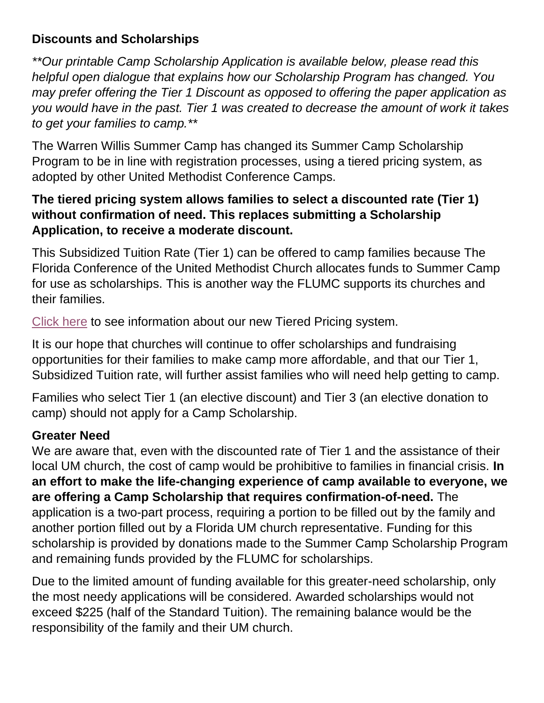## **Discounts and Scholarships**

*\*\*Our printable Camp Scholarship Application is available below, please read this helpful open dialogue that explains how our Scholarship Program has changed. You may prefer offering the Tier 1 Discount as opposed to offering the paper application as you would have in the past. Tier 1 was created to decrease the amount of work it takes to get your families to camp.\*\**

The Warren Willis Summer Camp has changed its Summer Camp Scholarship Program to be in line with registration processes, using a tiered pricing system, as adopted by other United Methodist Conference Camps.

## **The tiered pricing system allows families to select a discounted rate (Tier 1) without confirmation of need. This replaces submitting a Scholarship Application, to receive a moderate discount.**

This Subsidized Tuition Rate (Tier 1) can be offered to camp families because The Florida Conference of the United Methodist Church allocates funds to Summer Camp for use as scholarships. This is another way the FLUMC supports its churches and their families.

[Click here](https://wwumccc.org/tiered-pricing/) to see information about our new Tiered Pricing system.

It is our hope that churches will continue to offer scholarships and fundraising opportunities for their families to make camp more affordable, and that our Tier 1, Subsidized Tuition rate, will further assist families who will need help getting to camp.

Families who select Tier 1 (an elective discount) and Tier 3 (an elective donation to camp) should not apply for a Camp Scholarship.

# **Greater Need**

We are aware that, even with the discounted rate of Tier 1 and the assistance of their local UM church, the cost of camp would be prohibitive to families in financial crisis. **In an effort to make the life-changing experience of camp available to everyone, we are offering a Camp Scholarship that requires confirmation-of-need.** The application is a two-part process, requiring a portion to be filled out by the family and another portion filled out by a Florida UM church representative. Funding for this scholarship is provided by donations made to the Summer Camp Scholarship Program and remaining funds provided by the FLUMC for scholarships.

Due to the limited amount of funding available for this greater-need scholarship, only the most needy applications will be considered. Awarded scholarships would not exceed \$225 (half of the Standard Tuition). The remaining balance would be the responsibility of the family and their UM church.